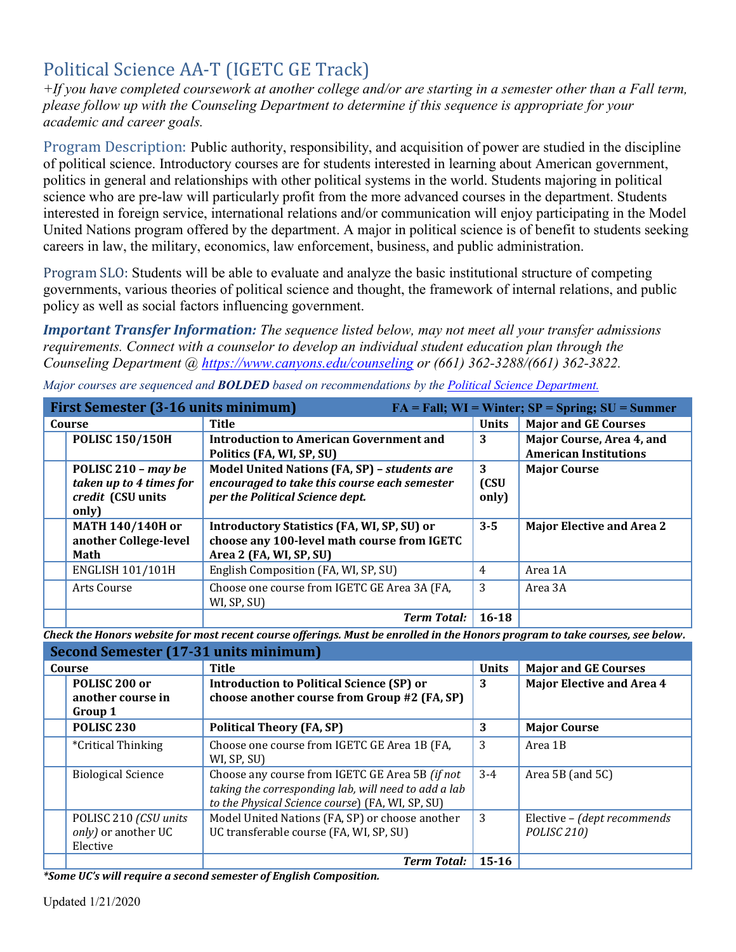# Political Science AA-T (IGETC GE Track)

*+If you have completed coursework at another college and/or are starting in a semester other than a Fall term, please follow up with the Counseling Department to determine if this sequence is appropriate for your academic and career goals.* 

Program Description: Public authority, responsibility, and acquisition of power are studied in the discipline of political science. Introductory courses are for students interested in learning about American government, politics in general and relationships with other political systems in the world. Students majoring in political science who are pre-law will particularly profit from the more advanced courses in the department. Students interested in foreign service, international relations and/or communication will enjoy participating in the Model United Nations program offered by the department. A major in political science is of benefit to students seeking careers in law, the military, economics, law enforcement, business, and public administration.

 Program SLO: Students will be able to evaluate and analyze the basic institutional structure of competing governments, various theories of political science and thought, the framework of internal relations, and public policy as well as social factors influencing government.

*Important Transfer Information: The sequence listed below, may not meet all your transfer admissions requirements. Connect with a counselor to develop an individual student education plan through the Counseling Department @<https://www.canyons.edu/counseling>or (661) 362-3288/(661) 362-3822.* 

| <b>First Semester (3-16 units minimum)</b><br>$FA = Fall; WI = Winter; SP = Spring; SU = Summer$ |                                                                              |                                                                                                                                 |                    |                                                           |
|--------------------------------------------------------------------------------------------------|------------------------------------------------------------------------------|---------------------------------------------------------------------------------------------------------------------------------|--------------------|-----------------------------------------------------------|
| Course                                                                                           |                                                                              | <b>Title</b>                                                                                                                    | <b>Units</b>       | <b>Major and GE Courses</b>                               |
|                                                                                                  | <b>POLISC 150/150H</b>                                                       | <b>Introduction to American Government and</b><br>Politics (FA, WI, SP, SU)                                                     | 3                  | Major Course, Area 4, and<br><b>American Institutions</b> |
|                                                                                                  | POLISC 210 - may be<br>taken up to 4 times for<br>credit (CSU units<br>only) | Model United Nations (FA, SP) - students are<br>encouraged to take this course each semester<br>per the Political Science dept. | 3<br>(CSU<br>only) | <b>Major Course</b>                                       |
|                                                                                                  | <b>MATH 140/140H or</b><br>another College-level<br>Math                     | <b>Introductory Statistics (FA, WI, SP, SU) or</b><br>choose any 100-level math course from IGETC<br>Area 2 (FA, WI, SP, SU)    | $3 - 5$            | <b>Major Elective and Area 2</b>                          |
|                                                                                                  | <b>ENGLISH 101/101H</b>                                                      | English Composition (FA, WI, SP, SU)                                                                                            | $\overline{4}$     | Area 1A                                                   |
|                                                                                                  | Arts Course                                                                  | Choose one course from IGETC GE Area 3A (FA,<br>WI, SP, SU)                                                                     | 3                  | Area 3A                                                   |
|                                                                                                  |                                                                              | <b>Term Total:</b>                                                                                                              | 16-18              |                                                           |

*Major courses are sequenced and BOLDED based on recommendations by the [Political Science Department.](https://www.canyons.edu/academics/politicalscience/index.php)* 

 *Check the Honors website for most recent course offerings. Must be enrolled in the Honors program to take courses, see below.* 

| Second Semester (17-31 units minimum) |                                                          |                                                                                                                                                             |              |                                                        |
|---------------------------------------|----------------------------------------------------------|-------------------------------------------------------------------------------------------------------------------------------------------------------------|--------------|--------------------------------------------------------|
| Course                                |                                                          | Title                                                                                                                                                       | <b>Units</b> | <b>Major and GE Courses</b>                            |
|                                       | POLISC 200 or<br>another course in<br>Group 1            | <b>Introduction to Political Science (SP) or</b><br>choose another course from Group #2 (FA, SP)                                                            | 3            | <b>Major Elective and Area 4</b>                       |
|                                       | <b>POLISC 230</b>                                        | <b>Political Theory (FA, SP)</b>                                                                                                                            | 3            | <b>Major Course</b>                                    |
|                                       | <i>*Critical Thinking</i>                                | Choose one course from IGETC GE Area 1B (FA,<br>WI, SP, SU)                                                                                                 | 3            | Area 1B                                                |
|                                       | <b>Biological Science</b>                                | Choose any course from IGETC GE Area 5B (if not<br>taking the corresponding lab, will need to add a lab<br>to the Physical Science course) (FA, WI, SP, SU) | $3 - 4$      | Area 5B (and 5C)                                       |
|                                       | POLISC 210 (CSU units<br>only) or another UC<br>Elective | Model United Nations (FA, SP) or choose another<br>UC transferable course (FA, WI, SP, SU)                                                                  | 3            | Elective - (dept recommends<br>POLISC <sub>210</sub> ) |
|                                       |                                                          | <b>Term Total:</b>                                                                                                                                          | $15 - 16$    |                                                        |

 *\*Some UC's will require a second semester of English Composition.*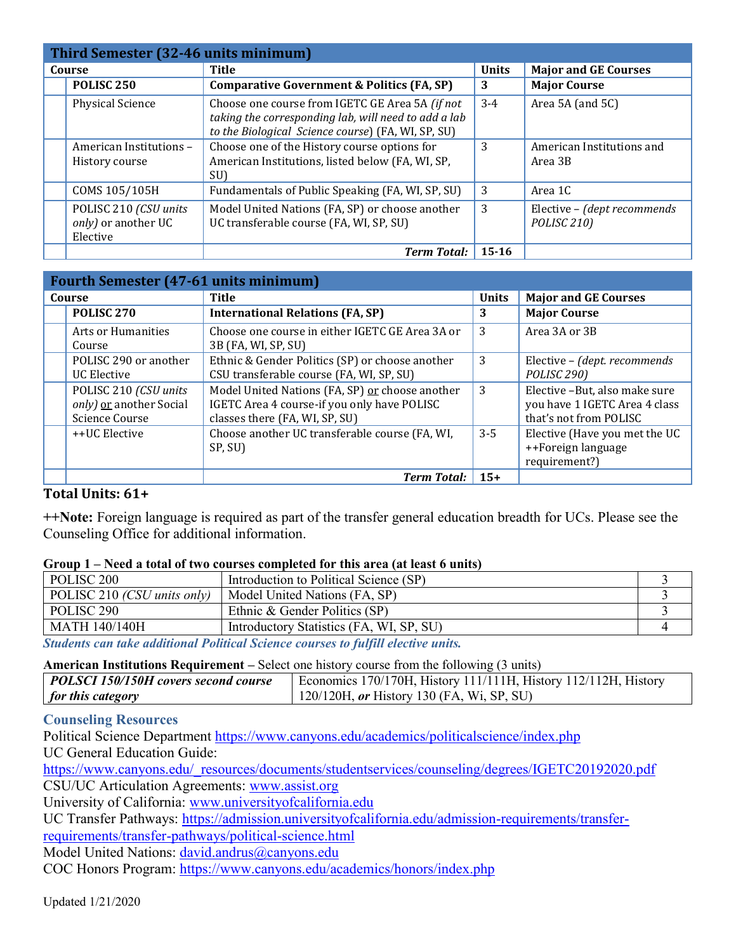| Third Semester (32-46 units minimum) |                                                          |                                                                                                                                                               |              |                                                        |
|--------------------------------------|----------------------------------------------------------|---------------------------------------------------------------------------------------------------------------------------------------------------------------|--------------|--------------------------------------------------------|
| Course                               |                                                          | <b>Title</b>                                                                                                                                                  | <b>Units</b> | <b>Major and GE Courses</b>                            |
|                                      | <b>POLISC 250</b>                                        | <b>Comparative Government &amp; Politics (FA, SP)</b>                                                                                                         | 3            | <b>Major Course</b>                                    |
|                                      | <b>Physical Science</b>                                  | Choose one course from IGETC GE Area 5A (if not<br>taking the corresponding lab, will need to add a lab<br>to the Biological Science course) (FA, WI, SP, SU) | $3 - 4$      | Area 5A (and 5C)                                       |
|                                      | American Institutions -<br>History course                | Choose one of the History course options for<br>American Institutions, listed below (FA, WI, SP,<br>SU)                                                       | 3            | American Institutions and<br>Area 3B                   |
|                                      | COMS 105/105H                                            | Fundamentals of Public Speaking (FA, WI, SP, SU)                                                                                                              | 3            | Area 1C                                                |
|                                      | POLISC 210 (CSU units<br>only) or another UC<br>Elective | Model United Nations (FA, SP) or choose another<br>UC transferable course (FA, WI, SP, SU)                                                                    | 3            | Elective - (dept recommends<br>POLISC <sub>210</sub> ) |
|                                      |                                                          | <b>Term Total:</b>                                                                                                                                            | $15-16$      |                                                        |

| <b>Fourth Semester (47-61 units minimum)</b> |                                                                    |                                                                                                                                  |              |                                                                                          |
|----------------------------------------------|--------------------------------------------------------------------|----------------------------------------------------------------------------------------------------------------------------------|--------------|------------------------------------------------------------------------------------------|
| Course                                       |                                                                    | <b>Title</b>                                                                                                                     | <b>Units</b> | <b>Major and GE Courses</b>                                                              |
|                                              | <b>POLISC 270</b>                                                  | <b>International Relations (FA, SP)</b>                                                                                          | 3            | <b>Major Course</b>                                                                      |
|                                              | Arts or Humanities<br>Course                                       | Choose one course in either IGETC GE Area 3A or<br>3B (FA, WI, SP, SU)                                                           | 3            | Area 3A or 3B                                                                            |
|                                              | POLISC 290 or another<br>UC Elective                               | Ethnic & Gender Politics (SP) or choose another<br>CSU transferable course (FA, WI, SP, SU)                                      | 3            | Elective - (dept. recommends<br>POLISC <sub>290</sub> )                                  |
|                                              | POLISC 210 (CSU units<br>only) or another Social<br>Science Course | Model United Nations (FA, SP) or choose another<br>IGETC Area 4 course-if you only have POLISC<br>classes there (FA, WI, SP, SU) | 3            | Elective -But, also make sure<br>you have 1 IGETC Area 4 class<br>that's not from POLISC |
|                                              | ++UC Elective                                                      | Choose another UC transferable course (FA, WI,<br>SP, SU)                                                                        | $3 - 5$      | Elective (Have you met the UC<br>++Foreign language<br>requirement?)                     |
|                                              |                                                                    | <b>Term Total:</b>                                                                                                               | $15+$        |                                                                                          |

## **Total Units: 61+**

**++Note:** Foreign language is required as part of the transfer general education breadth for UCs. Please see the Counseling Office for additional information.

### **Group 1 – Need a total of two courses completed for this area (at least 6 units)**

| POLISC <sub>200</sub>                                                                             | Introduction to Political Science (SP)   |  |  |  |
|---------------------------------------------------------------------------------------------------|------------------------------------------|--|--|--|
| POLISC 210 (CSU units only)                                                                       | Model United Nations (FA, SP)            |  |  |  |
| POLISC <sub>290</sub>                                                                             | Ethnic & Gender Politics (SP)            |  |  |  |
| <b>MATH 140/140H</b>                                                                              | Introductory Statistics (FA, WI, SP, SU) |  |  |  |
| $\alpha$ is the infection of $\alpha$ is the $\alpha$ in $\alpha$ is the $\alpha$ is the $\alpha$ |                                          |  |  |  |

*Students can take additional Political Science courses to fulfill elective units.* 

#### **American Institutions Requirement –** Select one history course from the following (3 units)

| POLSCI 150/150H covers second course | Economics 170/170H, History 111/111H, History 112/112H, History |  |  |
|--------------------------------------|-----------------------------------------------------------------|--|--|
| <i>for this category</i>             | 120/120H, or History 130 (FA, Wi, SP, SU)                       |  |  |

## **Counseling Resources**

Political Science Department<https://www.canyons.edu/academics/politicalscience/index.php> UC General Education Guide:

https://www.canyons.edu/\_resources/documents/studentservices/counseling/degrees/IGETC20192020.pdf CSU/UC Articulation Agreements: [www.assist.org](http://www.assist.org/) 

University of California: [www.universityofcalifornia.edu](http://www.universityofcalifornia.edu/) 

UC Transfer Pathways: [https://admission.universityofcalifornia.edu/admission-requirements/transfer-](https://admission.universityofcalifornia.edu/admission-requirements/transfer-requirements/transfer-pathways/political-science.html)

[requirements/transfer-pathways/political-science.html](https://admission.universityofcalifornia.edu/admission-requirements/transfer-requirements/transfer-pathways/political-science.html) 

Model United Nations: [david.andrus@canyons.edu](mailto:david.andrus@canyons.edu) 

COC Honors Program:<https://www.canyons.edu/academics/honors/index.php>